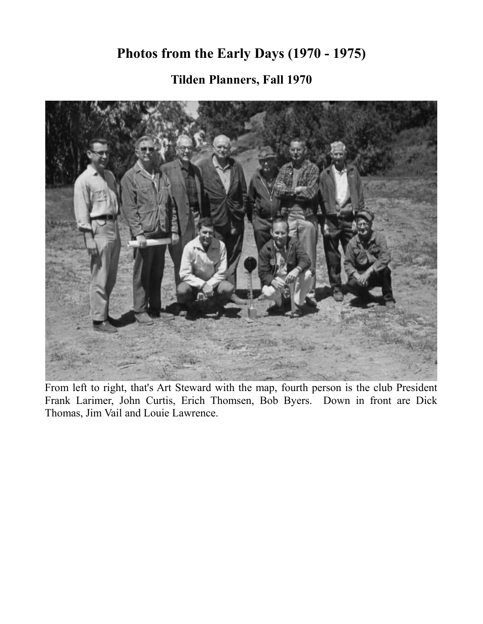### **Photos from the Early Days (1970 - 1975)**

**Tilden Planners, Fall 1970**



From left to right, that's Art Steward with the map, fourth person is the club President Frank Larimer, John Curtis, Erich Thomsen, Bob Byers. Down in front are Dick Thomas, Jim Vail and Louie Lawrence.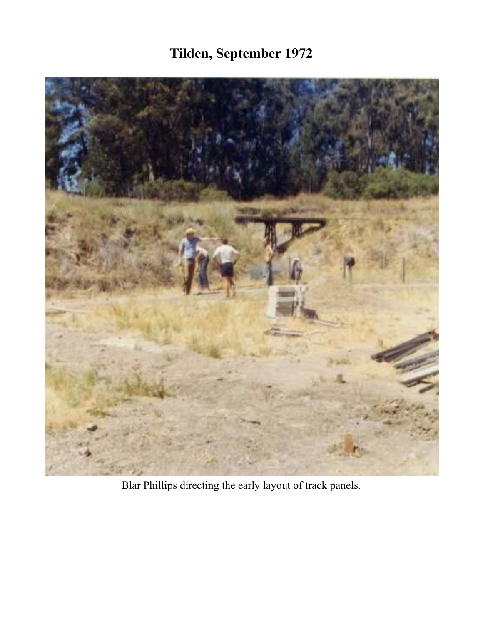# **Tilden, September 1972**



Blar Phillips directing the early layout of track panels.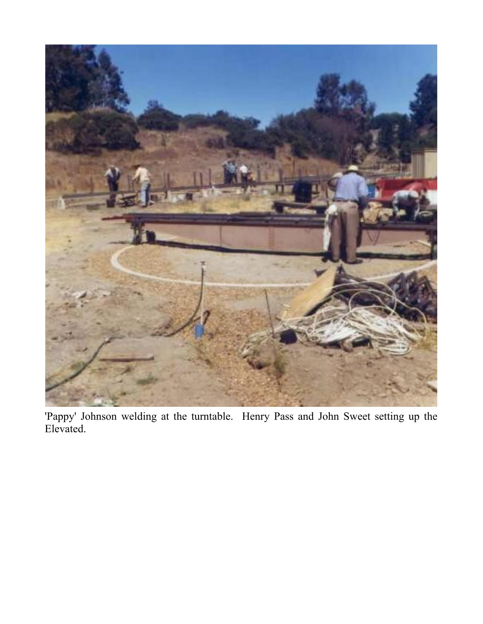

'Pappy' Johnson welding at the turntable. Henry Pass and John Sweet setting up the Elevated.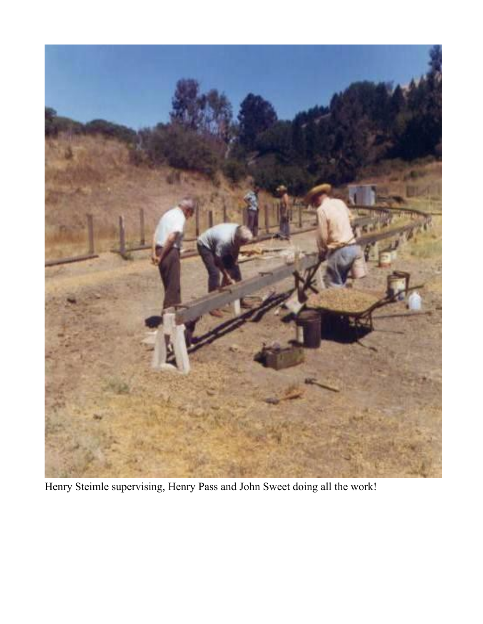

Henry Steimle supervising, Henry Pass and John Sweet doing all the work!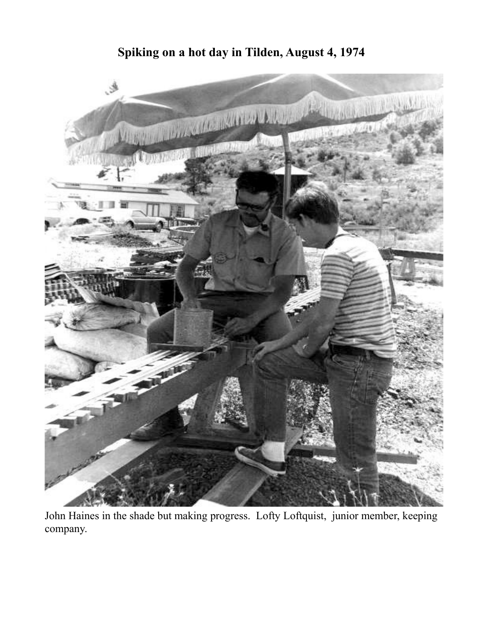#### **Spiking on a hot day in Tilden, August 4, 1974**



John Haines in the shade but making progress. Lofty Loftquist, junior member, keeping company.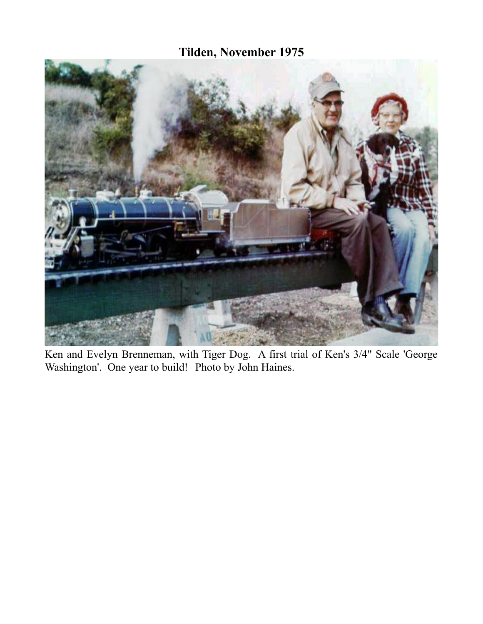#### **Tilden, November 1975**



Ken and Evelyn Brenneman, with Tiger Dog. A first trial of Ken's 3/4" Scale 'George Washington'. One year to build! Photo by John Haines.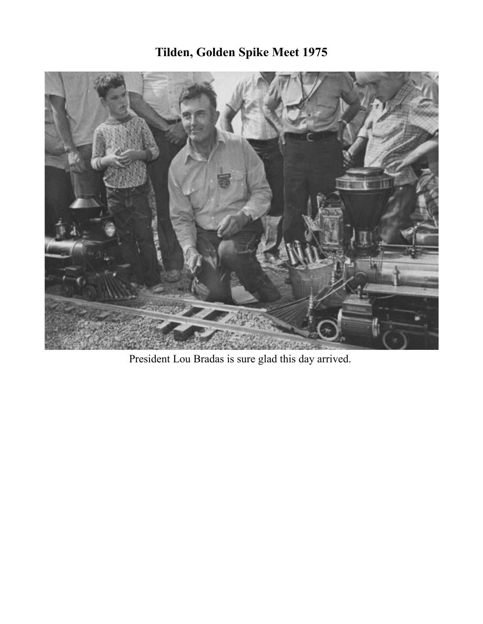

President Lou Bradas is sure glad this day arrived.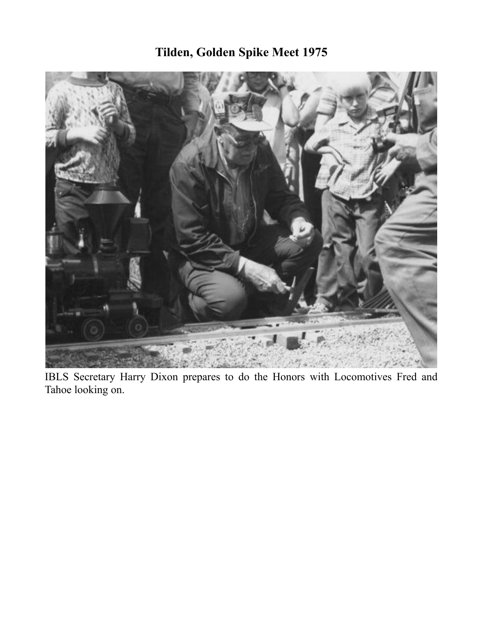

IBLS Secretary Harry Dixon prepares to do the Honors with Locomotives Fred and Tahoe looking on.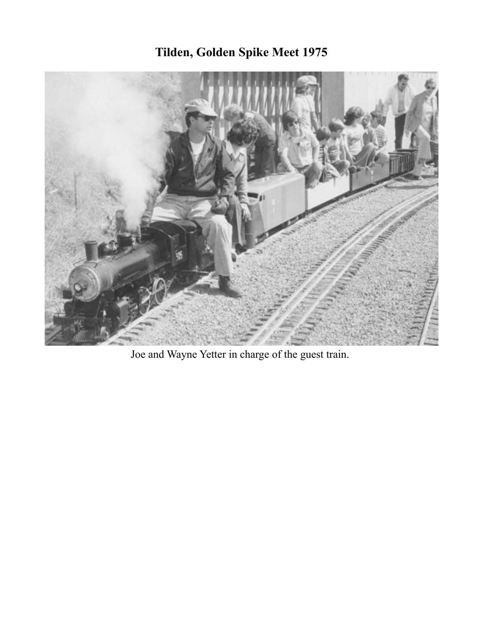

Joe and Wayne Yetter in charge of the guest train.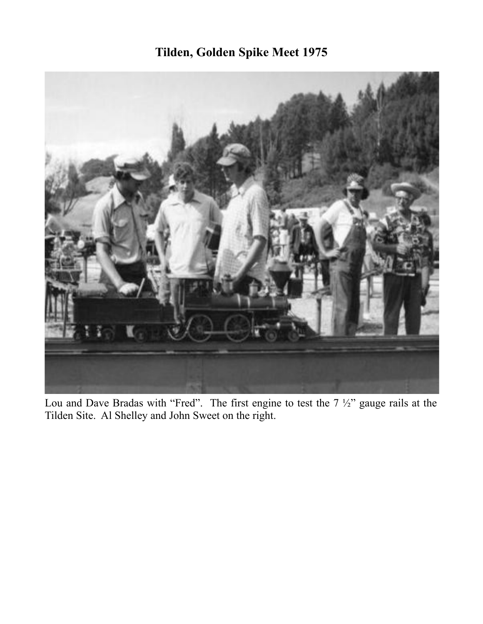

Lou and Dave Bradas with "Fred". The first engine to test the  $7\frac{1}{2}$ " gauge rails at the Tilden Site. Al Shelley and John Sweet on the right.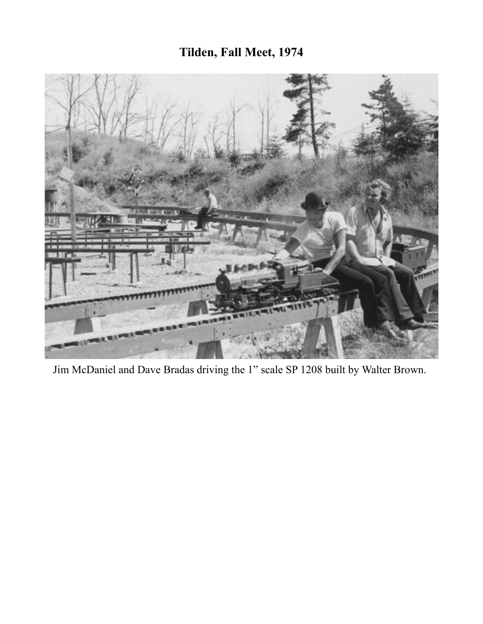### **Tilden, Fall Meet, 1974**



Jim McDaniel and Dave Bradas driving the 1" scale SP 1208 built by Walter Brown.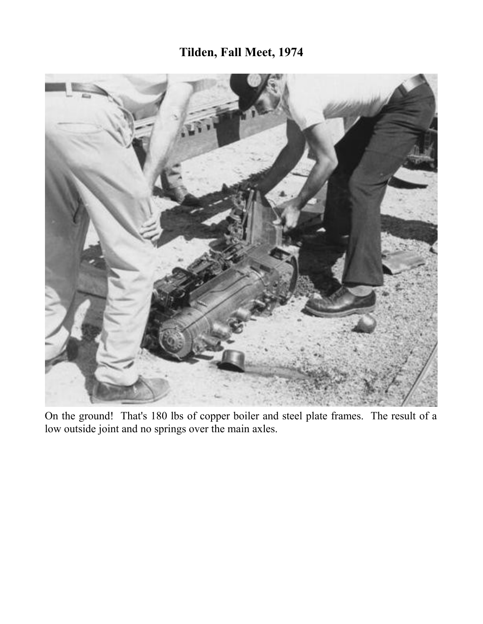#### **Tilden, Fall Meet, 1974**



On the ground! That's 180 lbs of copper boiler and steel plate frames. The result of a low outside joint and no springs over the main axles.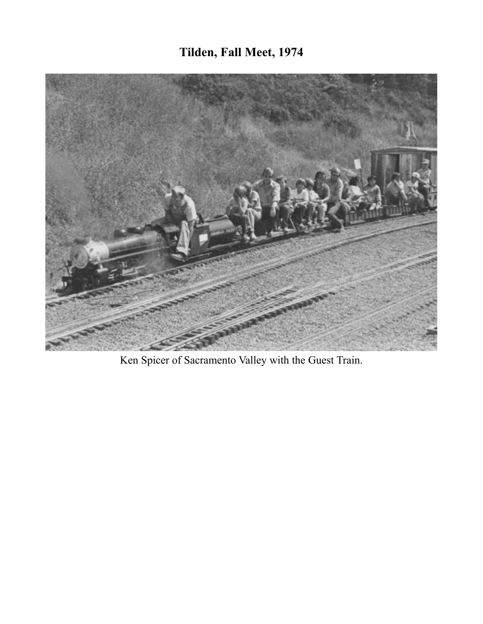## **Tilden, Fall Meet, 1974**



Ken Spicer of Sacramento Valley with the Guest Train.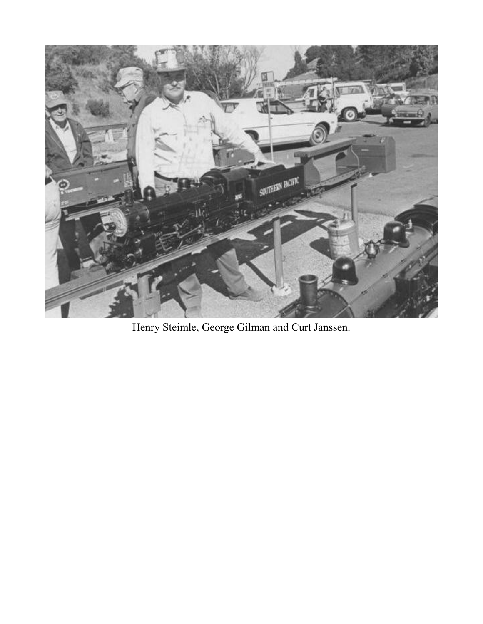

Henry Steimle, George Gilman and Curt Janssen.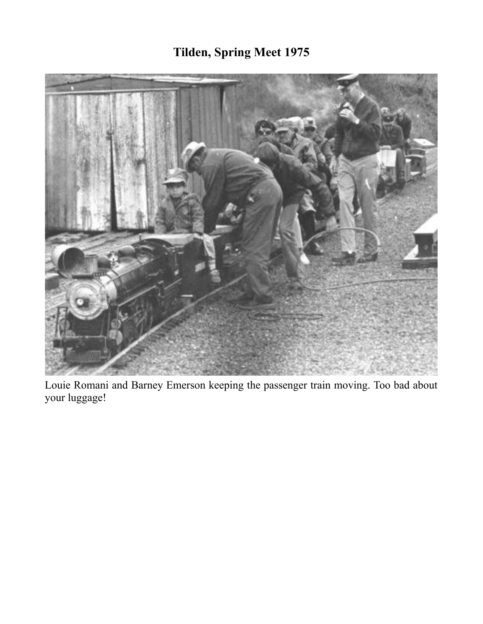# **Tilden, Spring Meet 1975**



Louie Romani and Barney Emerson keeping the passenger train moving. Too bad about your luggage!